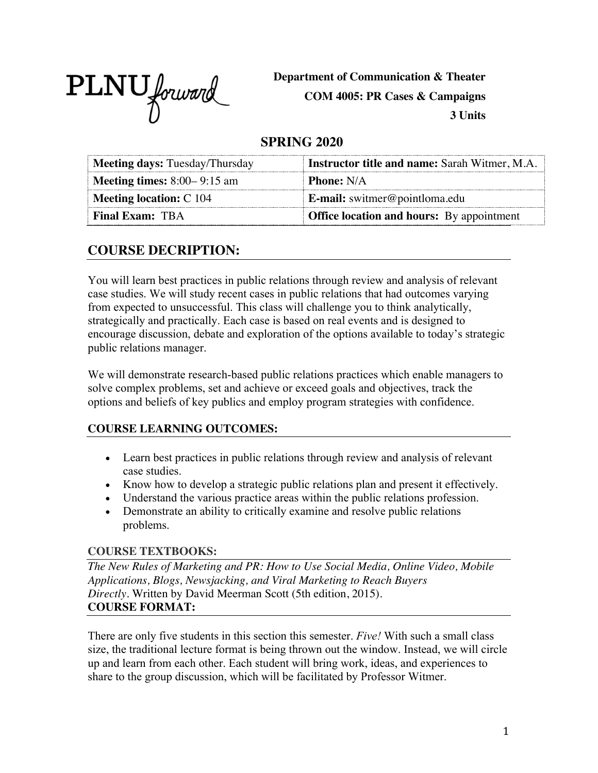

**Department of Communication & Theater COM 4005: PR Cases & Campaigns**

**3 Units**

# **SPRING 2020**

| Meeting days: Tuesday/Thursday       | <b>Instructor title and name:</b> Sarah Witmer, M.A. |
|--------------------------------------|------------------------------------------------------|
| <b>Meeting times:</b> $8:00-9:15$ am | <b>Phone:</b> N/A                                    |
| <b>Meeting location: C 104</b>       | <b>E-mail:</b> switmer@pointloma.edu                 |
| <b>Final Exam: TBA</b>               | <b>Office location and hours:</b> By appointment     |

# **COURSE DECRIPTION:**

You will learn best practices in public relations through review and analysis of relevant case studies. We will study recent cases in public relations that had outcomes varying from expected to unsuccessful. This class will challenge you to think analytically, strategically and practically. Each case is based on real events and is designed to encourage discussion, debate and exploration of the options available to today's strategic public relations manager.

We will demonstrate research-based public relations practices which enable managers to solve complex problems, set and achieve or exceed goals and objectives, track the options and beliefs of key publics and employ program strategies with confidence.

## **COURSE LEARNING OUTCOMES:**

- Learn best practices in public relations through review and analysis of relevant case studies.
- Know how to develop a strategic public relations plan and present it effectively.
- Understand the various practice areas within the public relations profession.
- Demonstrate an ability to critically examine and resolve public relations problems.

#### **COURSE TEXTBOOKS:**

*The New Rules of Marketing and PR: How to Use Social Media, Online Video, Mobile Applications, Blogs, Newsjacking, and Viral Marketing to Reach Buyers Directly.* Written by David Meerman Scott (5th edition, 2015). **COURSE FORMAT:**

There are only five students in this section this semester. *Five!* With such a small class size, the traditional lecture format is being thrown out the window. Instead, we will circle up and learn from each other. Each student will bring work, ideas, and experiences to share to the group discussion, which will be facilitated by Professor Witmer.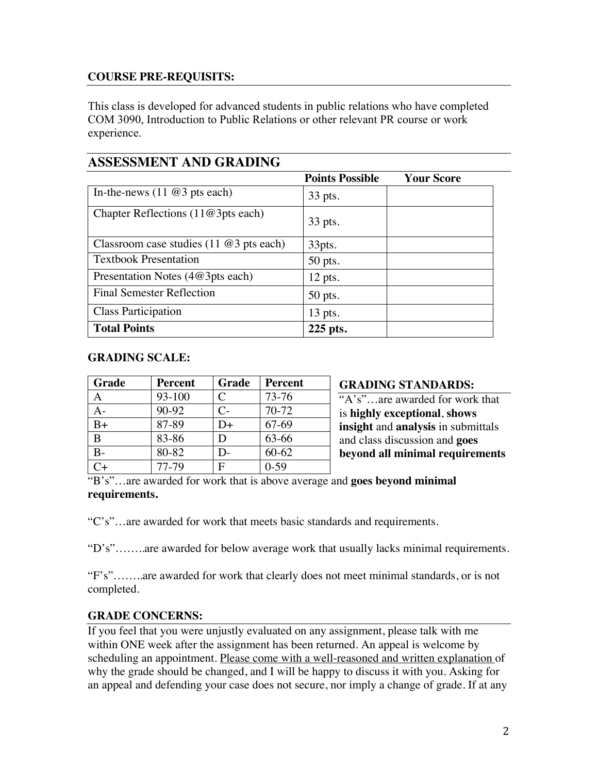#### **COURSE PRE-REQUISITS:**

This class is developed for advanced students in public relations who have completed COM 3090, Introduction to Public Relations or other relevant PR course or work experience.

### **ASSESSMENT AND GRADING**

|                                                | <b>Points Possible</b> | <b>Your Score</b> |
|------------------------------------------------|------------------------|-------------------|
| In-the-news $(11 \t@3 \tpt{pts each})$         | 33 pts.                |                   |
| Chapter Reflections $(11@3pts$ each)           | 33 pts.                |                   |
| Classroom case studies $(11 \t@3 \tpt s each)$ | 33pts.                 |                   |
| <b>Textbook Presentation</b>                   | 50 pts.                |                   |
| Presentation Notes (4@3pts each)               | $12$ pts.              |                   |
| <b>Final Semester Reflection</b>               | $50$ pts.              |                   |
| <b>Class Participation</b>                     | $13$ pts.              |                   |
| <b>Total Points</b>                            | 225 pts.               |                   |

#### **GRADING SCALE:**

| Grade | <b>Percent</b> | Grade        | <b>Percent</b> |               |
|-------|----------------|--------------|----------------|---------------|
| A     | 93-100         | C            | $73 - 76$      | $\frac{1}{4}$ |
|       | 90-92          | $C-$         | $70-72$        | is            |
| $B+$  | 87-89          | D+           | 67-69          | in            |
| B     | 83-86          | D            | 63-66          |               |
|       | 80-82          | D-           | $60 - 62$      |               |
|       | 77-79          | $\mathbf{F}$ | $0-59$         |               |

#### **GRADING STANDARDS:**

 $X's$ " are awarded for work that  $highly exceptional, shows$ **indum**itals sight and **analysis** in submittals and class discussion and **goes beyond all minimal requirements** 

"B's"…are awarded for work that is above average and **goes beyond minimal requirements.**

"C's"…are awarded for work that meets basic standards and requirements.

"D's"……..are awarded for below average work that usually lacks minimal requirements.

"F's"……..are awarded for work that clearly does not meet minimal standards, or is not completed.

#### **GRADE CONCERNS:**

If you feel that you were unjustly evaluated on any assignment, please talk with me within ONE week after the assignment has been returned. An appeal is welcome by scheduling an appointment. Please come with a well-reasoned and written explanation of why the grade should be changed, and I will be happy to discuss it with you. Asking for an appeal and defending your case does not secure, nor imply a change of grade. If at any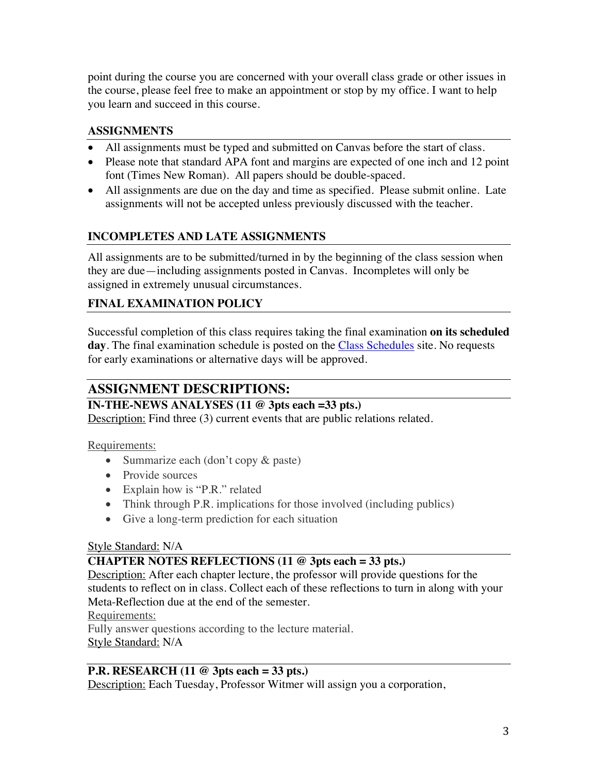point during the course you are concerned with your overall class grade or other issues in the course, please feel free to make an appointment or stop by my office. I want to help you learn and succeed in this course.

# **ASSIGNMENTS**

- All assignments must be typed and submitted on Canvas before the start of class.
- Please note that standard APA font and margins are expected of one inch and 12 point font (Times New Roman). All papers should be double-spaced.
- All assignments are due on the day and time as specified. Please submit online. Late assignments will not be accepted unless previously discussed with the teacher.

# **INCOMPLETES AND LATE ASSIGNMENTS**

All assignments are to be submitted/turned in by the beginning of the class session when they are due—including assignments posted in Canvas. Incompletes will only be assigned in extremely unusual circumstances.

# **FINAL EXAMINATION POLICY**

Successful completion of this class requires taking the final examination **on its scheduled**  day. The final examination schedule is posted on the **Class Schedules** site. No requests for early examinations or alternative days will be approved.

# **ASSIGNMENT DESCRIPTIONS:**

## **IN-THE-NEWS ANALYSES (11 @ 3pts each =33 pts.)**

Description: Find three (3) current events that are public relations related.

Requirements:

- Summarize each (don't copy & paste)
- Provide sources
- Explain how is "P.R." related
- Think through P.R. implications for those involved (including publics)
- Give a long-term prediction for each situation

## Style Standard: N/A

#### **CHAPTER NOTES REFLECTIONS (11 @ 3pts each = 33 pts.)**

Description: After each chapter lecture, the professor will provide questions for the students to reflect on in class. Collect each of these reflections to turn in along with your Meta-Reflection due at the end of the semester.

Requirements:

Fully answer questions according to the lecture material. Style Standard: N/A

## **P.R. RESEARCH (11 @ 3pts each = 33 pts.)**

Description: Each Tuesday, Professor Witmer will assign you a corporation,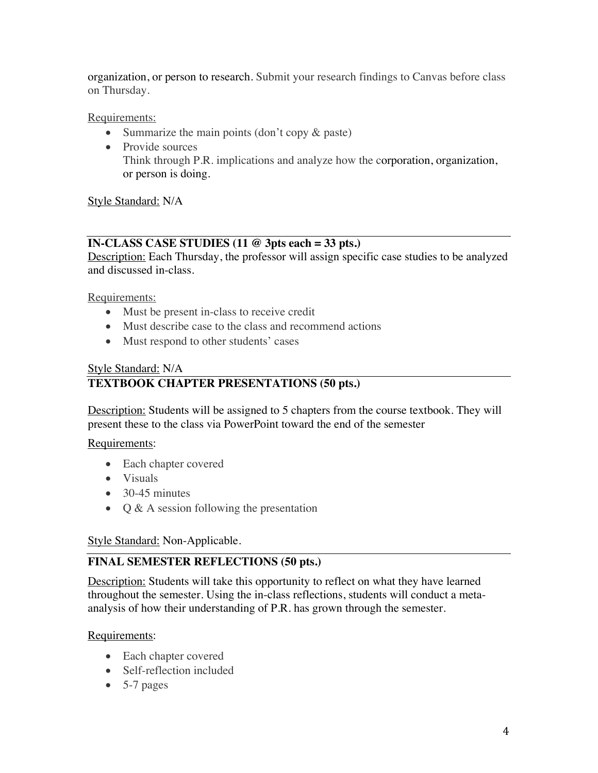organization, or person to research. Submit your research findings to Canvas before class on Thursday.

Requirements:

- Summarize the main points (don't copy & paste)
- Provide sources Think through P.R. implications and analyze how the corporation, organization, or person is doing.

Style Standard: N/A

#### **IN-CLASS CASE STUDIES (11 @ 3pts each = 33 pts.)**

Description: Each Thursday, the professor will assign specific case studies to be analyzed and discussed in-class.

Requirements:

- Must be present in-class to receive credit
- Must describe case to the class and recommend actions
- Must respond to other students' cases

#### Style Standard: N/A

### **TEXTBOOK CHAPTER PRESENTATIONS (50 pts.)**

Description: Students will be assigned to 5 chapters from the course textbook. They will present these to the class via PowerPoint toward the end of the semester

Requirements:

- Each chapter covered
- Visuals
- $\bullet$  30-45 minutes
- Q & A session following the presentation

#### Style Standard: Non-Applicable.

## **FINAL SEMESTER REFLECTIONS (50 pts.)**

Description: Students will take this opportunity to reflect on what they have learned throughout the semester. Using the in-class reflections, students will conduct a metaanalysis of how their understanding of P.R. has grown through the semester.

#### Requirements:

- Each chapter covered
- Self-reflection included
- $\bullet$  5-7 pages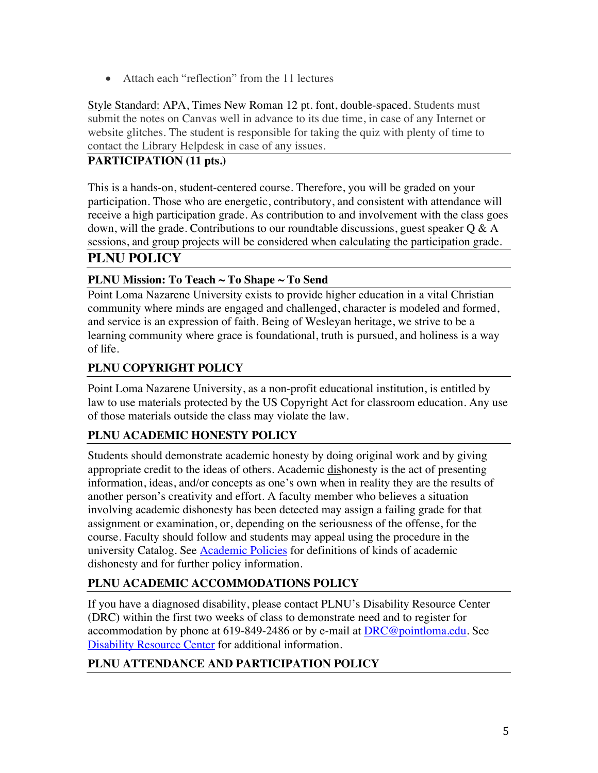• Attach each "reflection" from the 11 lectures

Style Standard: APA, Times New Roman 12 pt. font, double-spaced. Students must submit the notes on Canvas well in advance to its due time, in case of any Internet or website glitches. The student is responsible for taking the quiz with plenty of time to contact the Library Helpdesk in case of any issues.

# **PARTICIPATION (11 pts.)**

This is a hands-on, student-centered course. Therefore, you will be graded on your participation. Those who are energetic, contributory, and consistent with attendance will receive a high participation grade. As contribution to and involvement with the class goes down, will the grade. Contributions to our roundtable discussions, guest speaker  $Q \& A$ sessions, and group projects will be considered when calculating the participation grade.

# **PLNU POLICY**

## **PLNU Mission: To Teach ~ To Shape ~ To Send**

Point Loma Nazarene University exists to provide higher education in a vital Christian community where minds are engaged and challenged, character is modeled and formed, and service is an expression of faith. Being of Wesleyan heritage, we strive to be a learning community where grace is foundational, truth is pursued, and holiness is a way of life.

## **PLNU COPYRIGHT POLICY**

Point Loma Nazarene University, as a non-profit educational institution, is entitled by law to use materials protected by the US Copyright Act for classroom education. Any use of those materials outside the class may violate the law.

## **PLNU ACADEMIC HONESTY POLICY**

Students should demonstrate academic honesty by doing original work and by giving appropriate credit to the ideas of others. Academic dishonesty is the act of presenting information, ideas, and/or concepts as one's own when in reality they are the results of another person's creativity and effort. A faculty member who believes a situation involving academic dishonesty has been detected may assign a failing grade for that assignment or examination, or, depending on the seriousness of the offense, for the course. Faculty should follow and students may appeal using the procedure in the university Catalog. See **Academic Policies** for definitions of kinds of academic dishonesty and for further policy information.

# **PLNU ACADEMIC ACCOMMODATIONS POLICY**

If you have a diagnosed disability, please contact PLNU's Disability Resource Center (DRC) within the first two weeks of class to demonstrate need and to register for accommodation by phone at 619-849-2486 or by e-mail at DRC@pointloma.edu. See Disability Resource Center for additional information.

#### **PLNU ATTENDANCE AND PARTICIPATION POLICY**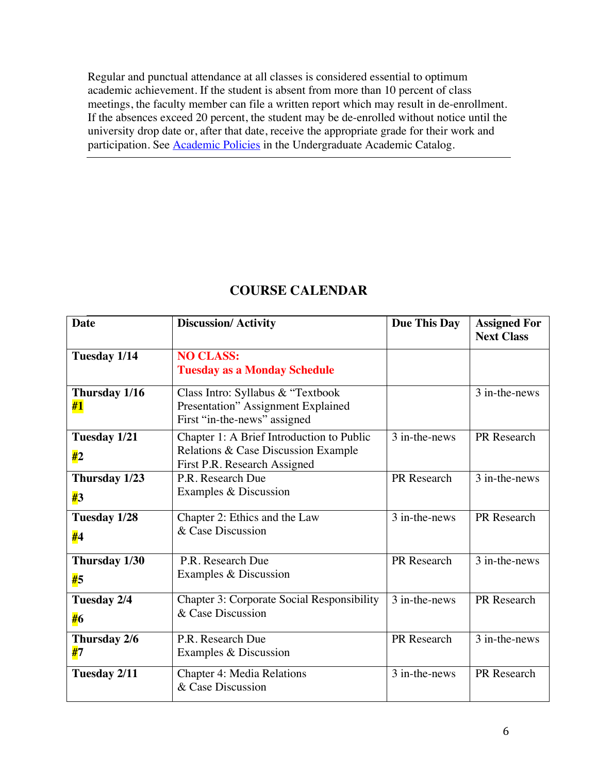Regular and punctual attendance at all classes is considered essential to optimum academic achievement. If the student is absent from more than 10 percent of class meetings, the faculty member can file a written report which may result in de-enrollment. If the absences exceed 20 percent, the student may be de-enrolled without notice until the university drop date or, after that date, receive the appropriate grade for their work and participation. See Academic Policies in the Undergraduate Academic Catalog.

| <b>Date</b>         | <b>Discussion/Activity</b>                                                                                       | <b>Due This Day</b> | <b>Assigned For</b><br><b>Next Class</b> |
|---------------------|------------------------------------------------------------------------------------------------------------------|---------------------|------------------------------------------|
| Tuesday 1/14        | <b>NO CLASS:</b><br><b>Tuesday as a Monday Schedule</b>                                                          |                     |                                          |
| Thursday 1/16<br>#1 | Class Intro: Syllabus & "Textbook"<br>Presentation" Assignment Explained<br>First "in-the-news" assigned         |                     | 3 in-the-news                            |
| Tuesday 1/21<br>#2  | Chapter 1: A Brief Introduction to Public<br>Relations & Case Discussion Example<br>First P.R. Research Assigned | 3 in-the-news       | PR Research                              |
| Thursday 1/23<br>#3 | P.R. Research Due<br>Examples & Discussion                                                                       | PR Research         | 3 in-the-news                            |
| Tuesday 1/28<br>#4  | Chapter 2: Ethics and the Law<br>& Case Discussion                                                               | 3 in-the-news       | PR Research                              |
| Thursday 1/30<br>#5 | P.R. Research Due<br>Examples & Discussion                                                                       | PR Research         | 3 in-the-news                            |
| Tuesday 2/4<br>#6   | <b>Chapter 3: Corporate Social Responsibility</b><br>& Case Discussion                                           | 3 in-the-news       | PR Research                              |
| Thursday 2/6<br>#7  | P.R. Research Due<br>Examples & Discussion                                                                       | PR Research         | 3 in-the-news                            |
| Tuesday 2/11        | <b>Chapter 4: Media Relations</b><br>& Case Discussion                                                           | 3 in-the-news       | PR Research                              |

# **COURSE CALENDAR**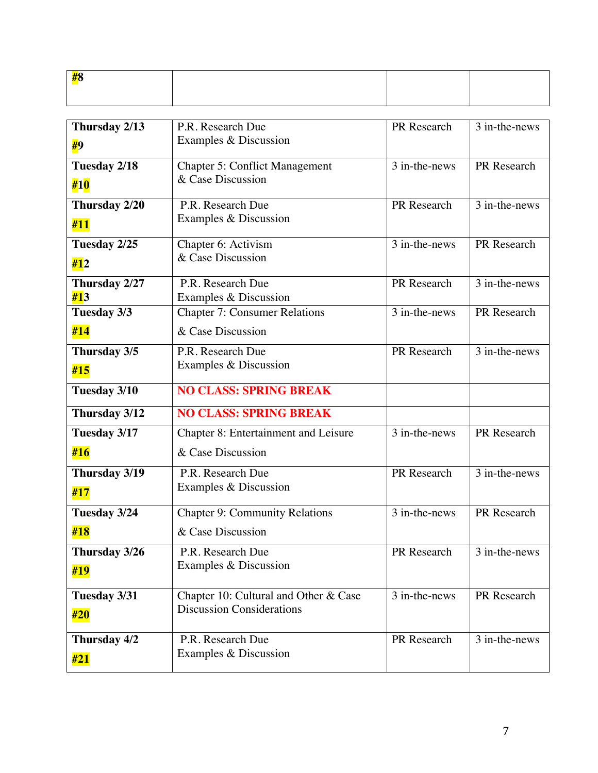| an c |  |  |
|------|--|--|
|      |  |  |
|      |  |  |
|      |  |  |
|      |  |  |
|      |  |  |

| Thursday 2/13             | P.R. Research Due                     | PR Research   | 3 in-the-news              |
|---------------------------|---------------------------------------|---------------|----------------------------|
| #9                        | Examples & Discussion                 |               |                            |
| Tuesday 2/18              | <b>Chapter 5: Conflict Management</b> | 3 in-the-news | PR Research                |
| #10                       | & Case Discussion                     |               |                            |
| Thursday 2/20             | P.R. Research Due                     | PR Research   | 3 in-the-news              |
| #11                       | Examples & Discussion                 |               |                            |
| Tuesday 2/25              | Chapter 6: Activism                   | 3 in-the-news | PR Research                |
| #12                       | & Case Discussion                     |               |                            |
| Thursday 2/27             | P.R. Research Due                     | PR Research   | 3 in-the-news              |
| #13                       | Examples & Discussion                 |               |                            |
| Tuesday 3/3               | <b>Chapter 7: Consumer Relations</b>  | 3 in-the-news | PR Research                |
| #14                       | & Case Discussion                     |               |                            |
| Thursday 3/5              | P.R. Research Due                     | PR Research   | $\overline{3}$ in-the-news |
| #15                       | Examples & Discussion                 |               |                            |
| Tuesday 3/10              | <b>NO CLASS: SPRING BREAK</b>         |               |                            |
| Thursday 3/12             | <b>NO CLASS: SPRING BREAK</b>         |               |                            |
| Tuesday 3/17              | Chapter 8: Entertainment and Leisure  | 3 in-the-news | PR Research                |
| #16                       | & Case Discussion                     |               |                            |
| Thursday 3/19             | P.R. Research Due                     | PR Research   | 3 in-the-news              |
| #17                       | Examples & Discussion                 |               |                            |
| Tuesday 3/24              | <b>Chapter 9: Community Relations</b> | 3 in-the-news | PR Research                |
| #18                       | & Case Discussion                     |               |                            |
| Thursday 3/26             | P.R. Research Due                     | PR Research   | 3 in-the-news              |
| #19                       | Examples & Discussion                 |               |                            |
| Tuesday $3/3\overline{1}$ | Chapter 10: Cultural and Other & Case | 3 in-the-news | PR Research                |
| #20                       | <b>Discussion Considerations</b>      |               |                            |
|                           |                                       |               |                            |
| Thursday 4/2              | P.R. Research Due                     | PR Research   | 3 in-the-news              |
| #21                       | Examples & Discussion                 |               |                            |
|                           |                                       |               |                            |